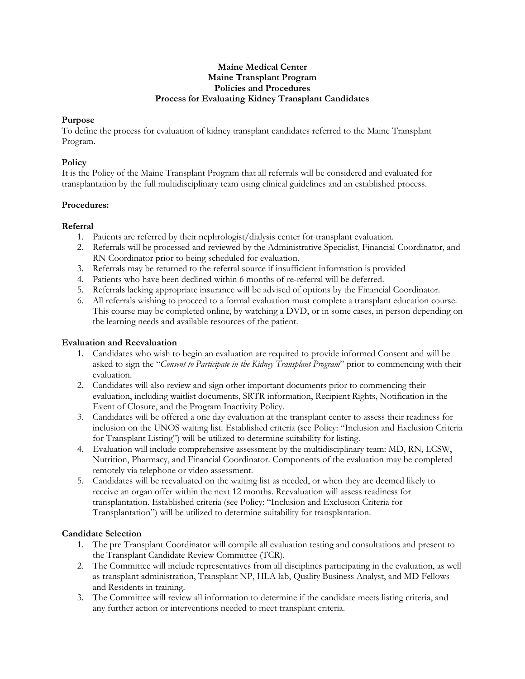#### **Maine Medical Center Maine Transplant Program Policies and Procedures Process for Evaluating Kidney Transplant Candidates**

### **Purpose**

To define the process for evaluation of kidney transplant candidates referred to the Maine Transplant Program.

### **Policy**

It is the Policy of the Maine Transplant Program that all referrals will be considered and evaluated for transplantation by the full multidisciplinary team using clinical guidelines and an established process.

## **Procedures:**

## **Referral**

- 1. Patients are referred by their nephrologist/dialysis center for transplant evaluation.
- 2. Referrals will be processed and reviewed by the Administrative Specialist, Financial Coordinator, and RN Coordinator prior to being scheduled for evaluation.
- 3. Referrals may be returned to the referral source if insufficient information is provided
- 4. Patients who have been declined within 6 months of re-referral will be deferred.
- 5. Referrals lacking appropriate insurance will be advised of options by the Financial Coordinator.
- 6. All referrals wishing to proceed to a formal evaluation must complete a transplant education course. This course may be completed online, by watching a DVD, or in some cases, in person depending on the learning needs and available resources of the patient.

# **Evaluation and Reevaluation**

- 1. Candidates who wish to begin an evaluation are required to provide informed Consent and will be asked to sign the "*Consent to Participate in the Kidney Transplant Program*" prior to commencing with their evaluation.
- 2. Candidates will also review and sign other important documents prior to commencing their evaluation, including waitlist documents, SRTR information, Recipient Rights, Notification in the Event of Closure, and the Program Inactivity Policy.
- 3. Candidates will be offered a one day evaluation at the transplant center to assess their readiness for inclusion on the UNOS waiting list. Established criteria (see Policy: "Inclusion and Exclusion Criteria for Transplant Listing") will be utilized to determine suitability for listing.
- 4. Evaluation will include comprehensive assessment by the multidisciplinary team: MD, RN, LCSW, Nutrition, Pharmacy, and Financial Coordinator. Components of the evaluation may be completed remotely via telephone or video assessment.
- 5. Candidates will be reevaluated on the waiting list as needed, or when they are deemed likely to receive an organ offer within the next 12 months. Reevaluation will assess readiness for transplantation. Established criteria (see Policy: "Inclusion and Exclusion Criteria for Transplantation") will be utilized to determine suitability for transplantation.

# **Candidate Selection**

- 1. The pre Transplant Coordinator will compile all evaluation testing and consultations and present to the Transplant Candidate Review Committee (TCR).
- 2. The Committee will include representatives from all disciplines participating in the evaluation, as well as transplant administration, Transplant NP, HLA lab, Quality Business Analyst, and MD Fellows and Residents in training.
- 3. The Committee will review all information to determine if the candidate meets listing criteria, and any further action or interventions needed to meet transplant criteria.